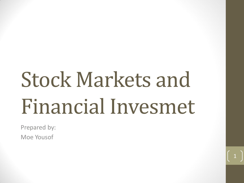## Stock Markets and Financial Invesmet

Prepared by: Moe Yousof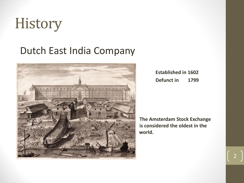#### History

#### Dutch East India Company



• **Established in 1602** • **Defunct in 1799**

• **The Amsterdam Stock Exchange is considered the oldest in the world.**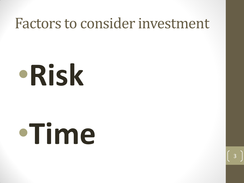#### Factors to consider investment

# •**Risk**

# •**Time**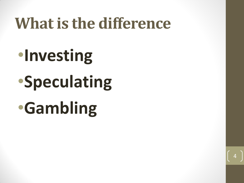#### **What is the difference**

•**Investing** •**Speculating** •**Gambling**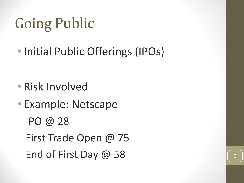### Going Public

• Initial Public Offerings (IPOs)

- Risk Involved
- Example: Netscape IPO @ 28 First Trade Open @ 75 End of First Day  $@$  58

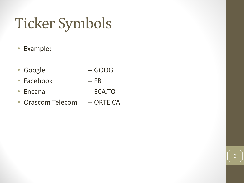#### Ticker Symbols

- Example:
- Google -- GOOG
- Facebook -- FB
- Encana -- ECA.TO
- Orascom Telecom -- ORTE.CA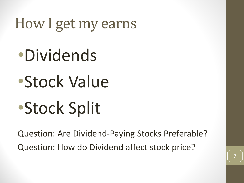#### How I get my earns

•Dividends •Stock Value •Stock Split

Question: Are Dividend-Paying Stocks Preferable? Question: How do Dividend affect stock price?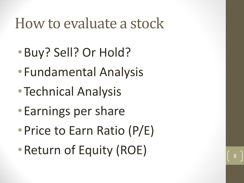#### How to evaluate a stock

- •Buy? Sell? Or Hold?
- •Fundamental Analysis
- •Technical Analysis
- •Earnings per share
- •Price to Earn Ratio (P/E)
- Return of Equity (ROE)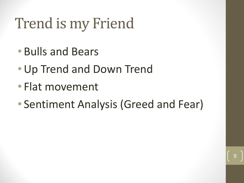#### Trend is my Friend

- Bulls and Bears
- •Up Trend and Down Trend
- Flat movement
- Sentiment Analysis (Greed and Fear)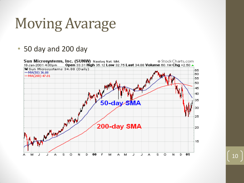#### Moving Avarage

#### • 50 day and 200 day

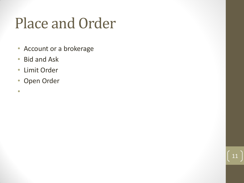#### Place and Order

11

- Account or a brokerage
- Bid and Ask
- Limit Order
- Open Order

•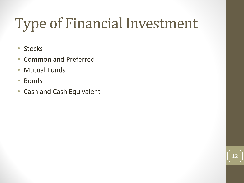#### Type of Financial Investment

- Stocks
- Common and Preferred
- Mutual Funds
- Bonds
- Cash and Cash Equivalent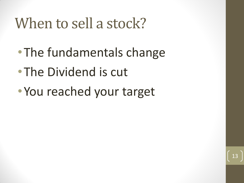#### When to sell a stock?

- •The fundamentals change
- •The Dividend is cut
- •You reached your target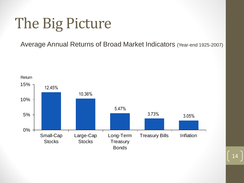#### The Big Picture

Average Annual Returns of Broad Market Indicators (Year-end 1925-2007)

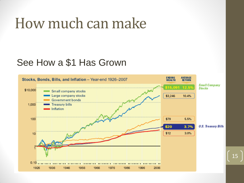#### How much can make

#### See How a \$1 Has Grown

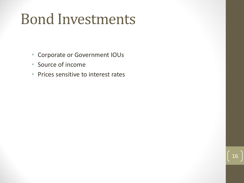#### Bond Investments

- Corporate or Government IOUs
- Source of income
- Prices sensitive to interest rates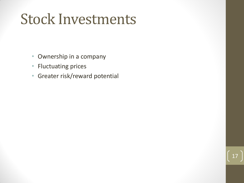#### Stock Investments

- Ownership in a company
- Fluctuating prices
- Greater risk/reward potential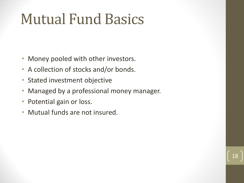#### Mutual Fund Basics

- Money pooled with other investors.
- A collection of stocks and/or bonds.
- Stated investment objective
- Managed by a professional money manager.

- Potential gain or loss.
- Mutual funds are not insured.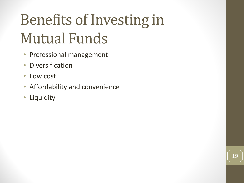### Benefits of Investing in Mutual Funds

- Professional management
- Diversification
- Low cost
- Affordability and convenience
- Liquidity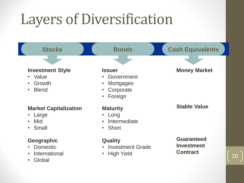#### Layers of Diversification

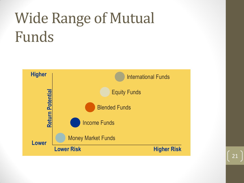### Wide Range of Mutual Funds